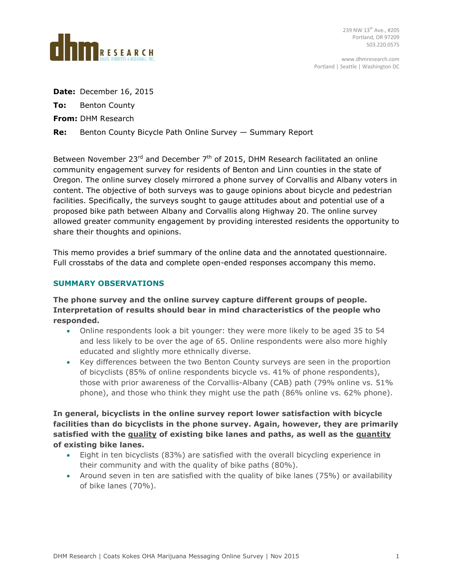

**Date:** December 16, 2015

**To:** Benton County

**From:** DHM Research

**Re:** Benton County Bicycle Path Online Survey — Summary Report

Between November 23 $^{rd}$  and December  $7<sup>th</sup>$  of 2015, DHM Research facilitated an online community engagement survey for residents of Benton and Linn counties in the state of Oregon. The online survey closely mirrored a phone survey of Corvallis and Albany voters in content. The objective of both surveys was to gauge opinions about bicycle and pedestrian facilities. Specifically, the surveys sought to gauge attitudes about and potential use of a proposed bike path between Albany and Corvallis along Highway 20. The online survey allowed greater community engagement by providing interested residents the opportunity to share their thoughts and opinions.

This memo provides a brief summary of the online data and the annotated questionnaire. Full crosstabs of the data and complete open-ended responses accompany this memo.

## **SUMMARY OBSERVATIONS**

**The phone survey and the online survey capture different groups of people. Interpretation of results should bear in mind characteristics of the people who responded.**

- Online respondents look a bit younger: they were more likely to be aged 35 to 54 and less likely to be over the age of 65. Online respondents were also more highly educated and slightly more ethnically diverse.
- Key differences between the two Benton County surveys are seen in the proportion of bicyclists (85% of online respondents bicycle vs. 41% of phone respondents), those with prior awareness of the Corvallis-Albany (CAB) path (79% online vs. 51% phone), and those who think they might use the path (86% online vs. 62% phone).

**In general, bicyclists in the online survey report lower satisfaction with bicycle facilities than do bicyclists in the phone survey. Again, however, they are primarily satisfied with the quality of existing bike lanes and paths, as well as the quantity of existing bike lanes.**

- Eight in ten bicyclists (83%) are satisfied with the overall bicycling experience in their community and with the quality of bike paths (80%).
- Around seven in ten are satisfied with the quality of bike lanes (75%) or availability of bike lanes (70%).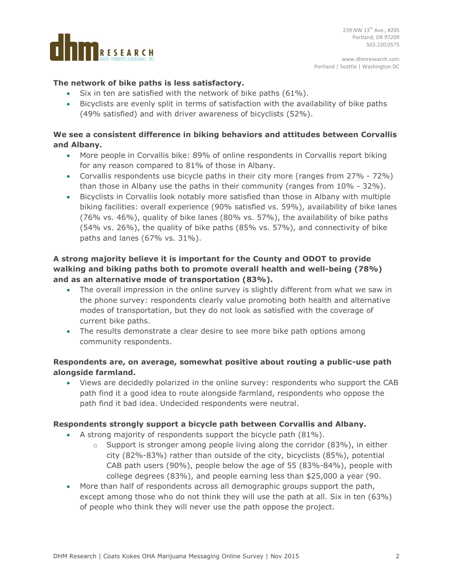

# **The network of bike paths is less satisfactory.**

- Six in ten are satisfied with the network of bike paths (61%).
- Bicyclists are evenly split in terms of satisfaction with the availability of bike paths (49% satisfied) and with driver awareness of bicyclists (52%).

# **We see a consistent difference in biking behaviors and attitudes between Corvallis and Albany.**

- More people in Corvallis bike: 89% of online respondents in Corvallis report biking for any reason compared to 81% of those in Albany.
- Corvallis respondents use bicycle paths in their city more (ranges from 27% 72%) than those in Albany use the paths in their community (ranges from 10% - 32%).
- Bicyclists in Corvallis look notably more satisfied than those in Albany with multiple biking facilities: overall experience (90% satisfied vs. 59%), availability of bike lanes (76% vs. 46%), quality of bike lanes (80% vs. 57%), the availability of bike paths (54% vs. 26%), the quality of bike paths (85% vs. 57%), and connectivity of bike paths and lanes (67% vs. 31%).

# **A strong majority believe it is important for the County and ODOT to provide walking and biking paths both to promote overall health and well-being (78%) and as an alternative mode of transportation (83%).**

- The overall impression in the online survey is slightly different from what we saw in the phone survey: respondents clearly value promoting both health and alternative modes of transportation, but they do not look as satisfied with the coverage of current bike paths.
- The results demonstrate a clear desire to see more bike path options among community respondents.

# **Respondents are, on average, somewhat positive about routing a public-use path alongside farmland.**

 Views are decidedly polarized in the online survey: respondents who support the CAB path find it a good idea to route alongside farmland, respondents who oppose the path find it bad idea. Undecided respondents were neutral.

## **Respondents strongly support a bicycle path between Corvallis and Albany.**

- A strong majority of respondents support the bicycle path (81%).
	- $\circ$  Support is stronger among people living along the corridor (83%), in either city (82%-83%) rather than outside of the city, bicyclists (85%), potential CAB path users (90%), people below the age of 55 (83%-84%), people with college degrees (83%), and people earning less than \$25,000 a year (90.
- More than half of respondents across all demographic groups support the path, except among those who do not think they will use the path at all. Six in ten (63%) of people who think they will never use the path oppose the project.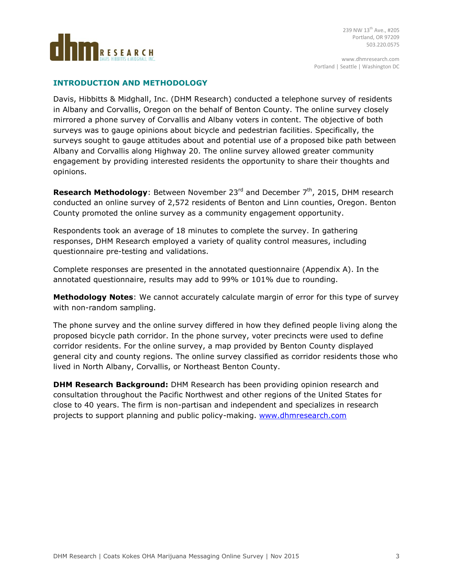

#### **INTRODUCTION AND METHODOLOGY**

Davis, Hibbitts & Midghall, Inc. (DHM Research) conducted a telephone survey of residents in Albany and Corvallis, Oregon on the behalf of Benton County. The online survey closely mirrored a phone survey of Corvallis and Albany voters in content. The objective of both surveys was to gauge opinions about bicycle and pedestrian facilities. Specifically, the surveys sought to gauge attitudes about and potential use of a proposed bike path between Albany and Corvallis along Highway 20. The online survey allowed greater community engagement by providing interested residents the opportunity to share their thoughts and opinions.

**Research Methodology**: Between November 23<sup>rd</sup> and December 7<sup>th</sup>, 2015, DHM research conducted an online survey of 2,572 residents of Benton and Linn counties, Oregon. Benton County promoted the online survey as a community engagement opportunity.

Respondents took an average of 18 minutes to complete the survey. In gathering responses, DHM Research employed a variety of quality control measures, including questionnaire pre-testing and validations.

Complete responses are presented in the annotated questionnaire (Appendix A). In the annotated questionnaire, results may add to 99% or 101% due to rounding.

**Methodology Notes**: We cannot accurately calculate margin of error for this type of survey with non-random sampling.

The phone survey and the online survey differed in how they defined people living along the proposed bicycle path corridor. In the phone survey, voter precincts were used to define corridor residents. For the online survey, a map provided by Benton County displayed general city and county regions. The online survey classified as corridor residents those who lived in North Albany, Corvallis, or Northeast Benton County.

**DHM Research Background:** DHM Research has been providing opinion research and consultation throughout the Pacific Northwest and other regions of the United States for close to 40 years. The firm is non-partisan and independent and specializes in research projects to support planning and public policy-making. [www.dhmresearch.com](http://www.dhmresearch.com/)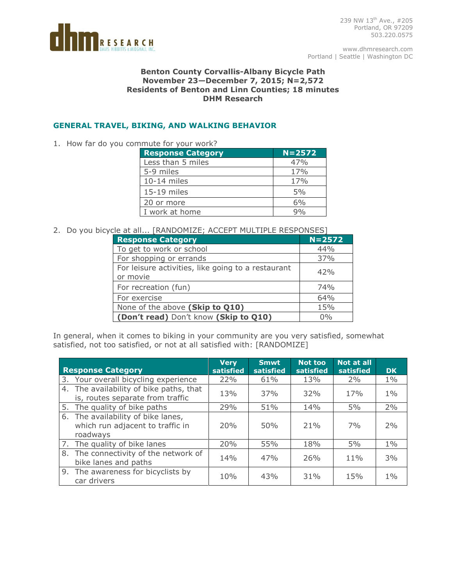

239 NW 13th Ave., #205 Portland, OR 97209 503.220.0575

www.dhmresearch.com Portland | Seattle | Washington DC

#### **Benton County Corvallis-Albany Bicycle Path November 23—December 7, 2015; N=2,572 Residents of Benton and Linn Counties; 18 minutes DHM Research**

# **GENERAL TRAVEL, BIKING, AND WALKING BEHAVIOR**

1. How far do you commute for your work?

| <b>Response Category</b> | $N = 2572$ |
|--------------------------|------------|
| Less than 5 miles        | 47%        |
| 5-9 miles                | 17%        |
| $10-14$ miles            | 17%        |
| 15-19 miles              | 5%         |
| 20 or more               | 6%         |
| I work at home           | $9\%$      |
|                          |            |

### 2. Do you bicycle at all... [RANDOMIZE; ACCEPT MULTIPLE RESPONSES]

| <b>Response Category</b>                                       | $N = 2572$ |
|----------------------------------------------------------------|------------|
| To get to work or school                                       | 44%        |
| For shopping or errands                                        | 37%        |
| For leisure activities, like going to a restaurant<br>or movie | 42%        |
| For recreation (fun)                                           | 74%        |
| For exercise                                                   | 64%        |
| None of the above (Skip to Q10)                                | 15%        |
| (Don't read) Don't know (Skip to Q10)                          | $0\%$      |

In general, when it comes to biking in your community are you very satisfied, somewhat satisfied, not too satisfied, or not at all satisfied with: [RANDOMIZE]

| <b>Response Category</b>                                                           | <b>Verv</b><br>satisfied | <b>Smwt</b><br>satisfied | <b>Not too</b><br>satisfied | <b>Not at all</b><br>satisfied | <b>DK</b> |
|------------------------------------------------------------------------------------|--------------------------|--------------------------|-----------------------------|--------------------------------|-----------|
| 3. Your overall bicycling experience                                               | 22%                      | 61%                      | 13%                         | 2%                             | $1\%$     |
| 4. The availability of bike paths, that<br>is, routes separate from traffic        | 13%                      | 37%                      | 32%                         | 17%                            | $1\%$     |
| 5. The quality of bike paths                                                       | 29%                      | 51%                      | 14%                         | 5%                             | 2%        |
| 6. The availability of bike lanes,<br>which run adjacent to traffic in<br>roadways | 20%                      | 50%                      | 21%                         | 7%                             | 2%        |
| 7. The quality of bike lanes                                                       | 20%                      | 55%                      | 18%                         | 5%                             | $1\%$     |
| 8. The connectivity of the network of<br>bike lanes and paths                      | 14%                      | 47%                      | 26%                         | $11\%$                         | 3%        |
| 9. The awareness for bicyclists by<br>car drivers                                  | 10%                      | 43%                      | 31%                         | 15%                            | $1\%$     |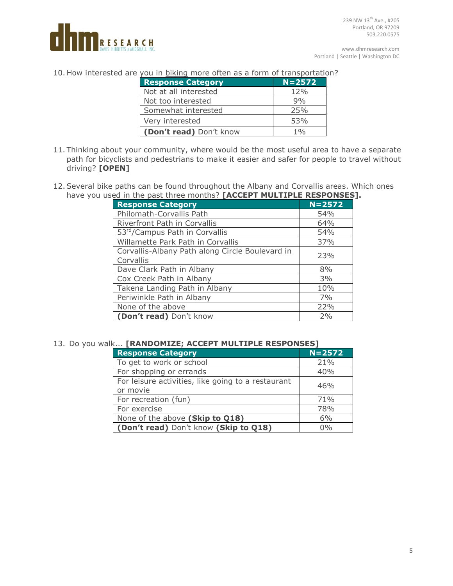

10. How interested are you in **biking** more often as a form of transportation?

| <b>Response Category</b> | $N = 2572$      |
|--------------------------|-----------------|
| Not at all interested    | 12%             |
| Not too interested       | 9%              |
| Somewhat interested      | 25%             |
| Very interested          | 53%             |
| (Don't read) Don't know  | 10 <sub>0</sub> |

- 11. Thinking about your community, where would be the most useful area to have a separate path for bicyclists and pedestrians to make it easier and safer for people to travel without driving? **[OPEN]**
- 12.Several bike paths can be found throughout the Albany and Corvallis areas. Which ones have you used in the past three months? **[ACCEPT MULTIPLE RESPONSES].**

| <b>Response Category</b>                        | $N = 2572$ |
|-------------------------------------------------|------------|
| Philomath-Corvallis Path                        | 54%        |
| Riverfront Path in Corvallis                    | 64%        |
| 53 <sup>rd</sup> /Campus Path in Corvallis      | 54%        |
| Willamette Park Path in Corvallis               | 37%        |
| Corvallis-Albany Path along Circle Boulevard in | 23%        |
| Corvallis                                       |            |
| Dave Clark Path in Albany                       | 8%         |
| Cox Creek Path in Albany                        | 3%         |
| Takena Landing Path in Albany                   | 10%        |
| Periwinkle Path in Albany                       | 7%         |
| None of the above                               | 22%        |
| (Don't read) Don't know                         | 2%         |

#### 13. Do you walk... **[RANDOMIZE; ACCEPT MULTIPLE RESPONSES]**

| <b>Response Category</b>                                       | $N = 2572$ |
|----------------------------------------------------------------|------------|
| To get to work or school                                       | 21%        |
| For shopping or errands                                        | 40%        |
| For leisure activities, like going to a restaurant<br>or movie | 46%        |
| For recreation (fun)                                           | 71%        |
| For exercise                                                   | 78%        |
| None of the above (Skip to Q18)                                | 6%         |
| (Don't read) Don't know (Skip to Q18)                          | 0%         |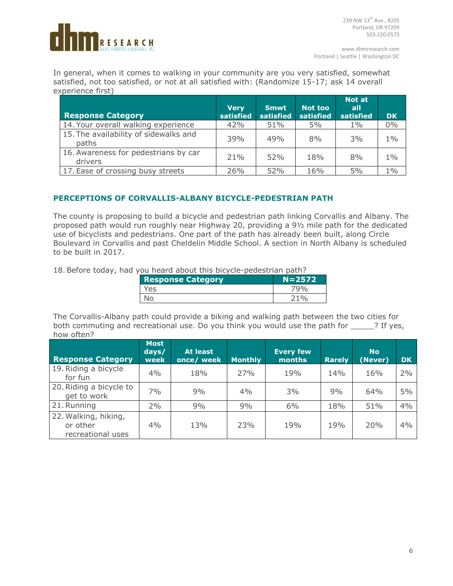

In general, when it comes to walking in your community are you very satisfied, somewhat satisfied, not too satisfied, or not at all satisfied with: (Randomize 15-17; ask 14 overall experience first)

| <b>Response Category</b>                        | <b>Very</b><br>satisfied | Smwt<br>satisfied | Not too<br>satisfied | <b>Not at</b><br>all<br>satisfied | <b>DK</b> |
|-------------------------------------------------|--------------------------|-------------------|----------------------|-----------------------------------|-----------|
| 14. Your overall walking experience             | 42%                      | 51%               | $5\%$                | $1\%$                             | 0%        |
| 15. The availability of sidewalks and<br>paths  | 39%                      | 49%               | 8%                   | 3%                                | $1\%$     |
| 16. Awareness for pedestrians by car<br>drivers | 21%                      | 52%               | 18%                  | 8%                                | $1\%$     |
| 17. Ease of crossing busy streets               | 26%                      | 52%               | 16%                  | 5%                                | $1\%$     |

# **PERCEPTIONS OF CORVALLIS-ALBANY BICYCLE-PEDESTRIAN PATH**

The county is proposing to build a bicycle and pedestrian path linking Corvallis and Albany. The proposed path would run roughly near Highway 20, providing a 9½ mile path for the dedicated use of bicyclists and pedestrians. One part of the path has already been built, along Circle Boulevard in Corvallis and past Cheldelin Middle School. A section in North Albany is scheduled to be built in 2017.

18.Before today, had you heard about this bicycle-pedestrian path?

| <b>Response Category</b> | $N = 2572$ |
|--------------------------|------------|
| Yes                      |            |
|                          | つ 1 0人     |

The Corvallis-Albany path could provide a biking and walking path between the two cities for both commuting and recreational use. Do you think you would use the path for \_\_\_\_\_? If yes, how often?

| <b>Response Category</b>                              | <b>Most</b><br>days/<br>week | At least<br>once/ week | Monthly | <b>Every few</b><br>months | <b>Rarely</b> | <b>No</b><br>(Never) | DK. |
|-------------------------------------------------------|------------------------------|------------------------|---------|----------------------------|---------------|----------------------|-----|
| 19. Riding a bicycle<br>for fun                       | 4%                           | 18%                    | 27%     | 19%                        | 14%           | 16%                  | 2%  |
| 20. Riding a bicycle to<br>get to work                | 7%                           | 9%                     | 4%      | 3%                         | 9%            | 64%                  | 5%  |
| 21. Running                                           | 2%                           | 9%                     | 9%      | 6%                         | 18%           | 51%                  | 4%  |
| 22. Walking, hiking,<br>or other<br>recreational uses | $4\%$                        | 13%                    | 23%     | 19%                        | 19%           | 20%                  | 4%  |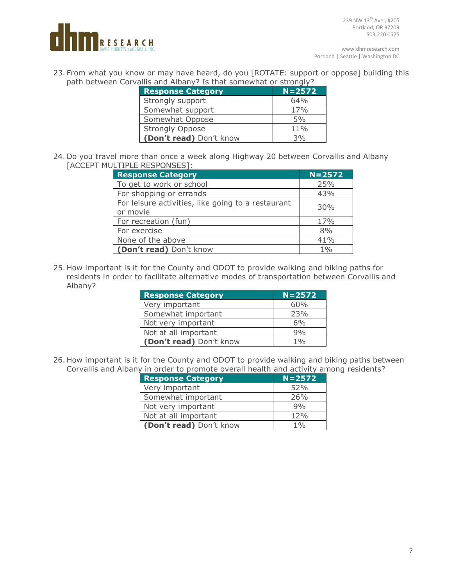

23. From what you know or may have heard, do you [ROTATE: support or oppose] building this path between Corvallis and Albany? Is that somewhat or strongly?

| allis allu Albally: Is tilat sulliewilat of strollyly: |            |  |
|--------------------------------------------------------|------------|--|
| <b>Response Category</b>                               | $N = 2572$ |  |
| Strongly support                                       | 64%        |  |
| Somewhat support                                       | 17%        |  |
| Somewhat Oppose                                        | 5%         |  |
| <b>Strongly Oppose</b>                                 | 11%        |  |
| (Don't read) Don't know                                | 3%         |  |

24. Do you travel more than once a week along Highway 20 between Corvallis and Albany [ACCEPT MULTIPLE RESPONSES]:

| <b>Response Category</b>                                       | $N = 2572$ |
|----------------------------------------------------------------|------------|
| To get to work or school                                       | 25%        |
| For shopping or errands                                        | 43%        |
| For leisure activities, like going to a restaurant<br>or movie | 30%        |
| For recreation (fun)                                           | 17%        |
| For exercise                                                   | 8%         |
| None of the above                                              | 41%        |
| (Don't read) Don't know                                        | 1%         |

25. How important is it for the County and ODOT to provide walking and biking paths for residents in order to facilitate alternative modes of transportation between Corvallis and Albany?

| <b>Response Category</b> | $N = 2572$ |
|--------------------------|------------|
| Very important           | 60%        |
| Somewhat important       | 23%        |
| Not very important       | 6%         |
| Not at all important     | 9%         |
| (Don't read) Don't know  | 1%         |

26. How important is it for the County and ODOT to provide walking and biking paths between Corvallis and Albany in order to promote overall health and activity among residents?

| <b>Response Category</b> | $N = 2572$ |
|--------------------------|------------|
| Very important           | 52%        |
| Somewhat important       | 26%        |
| Not very important       | 9%         |
| Not at all important     | 12%        |
| (Don't read) Don't know  | 1%         |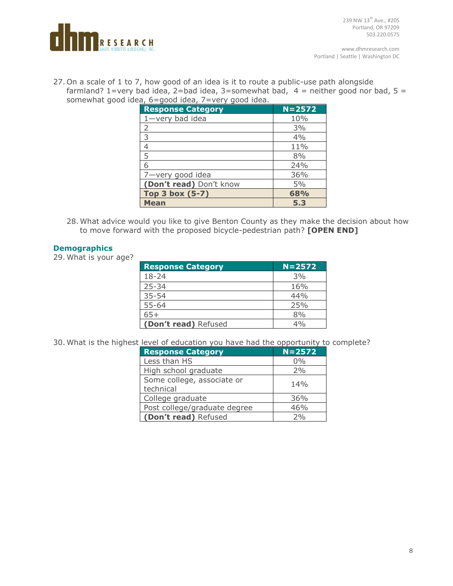

27. On a scale of 1 to 7, how good of an idea is it to route a public-use path alongside farmland? 1=very bad idea, 2=bad idea, 3=somewhat bad,  $4$  = neither good nor bad, 5 = somewhat good idea, 6=good idea, 7=very good idea.

| <b>Response Category</b> | $N = 2572$ |
|--------------------------|------------|
|                          |            |
| $1$ -very bad idea       | 10%        |
| 2                        | 3%         |
| 3                        | 4%         |
| 4                        | 11%        |
| 5                        | 8%         |
| 6                        | 24%        |
| 7-very good idea         | 36%        |
| (Don't read) Don't know  | 5%         |
| Top 3 box (5-7)          | 68%        |
| <b>Mean</b>              | 5.3        |

28. What advice would you like to give Benton County as they make the decision about how to move forward with the proposed bicycle-pedestrian path? **[OPEN END]**

### **Demographics**

29. What is your age?

| <b>Response Category</b> | $N = 2572$ |
|--------------------------|------------|
| $18 - 24$                | 3%         |
| $25 - 34$                | 16%        |
| $35 - 54$                | 44%        |
| $55 - 64$                | 25%        |
| $65+$                    | 8%         |
| (Don't read) Refused     | 4%         |

30. What is the highest level of education you have had the opportunity to complete?

| <b>Response Category</b>                | $N = 2572$ |
|-----------------------------------------|------------|
| Less than HS                            | 0%         |
| High school graduate                    | 2%         |
| Some college, associate or<br>technical | 14%        |
| College graduate                        | 36%        |
| Post college/graduate degree            | 46%        |
| (Don't read) Refused                    | 70/6       |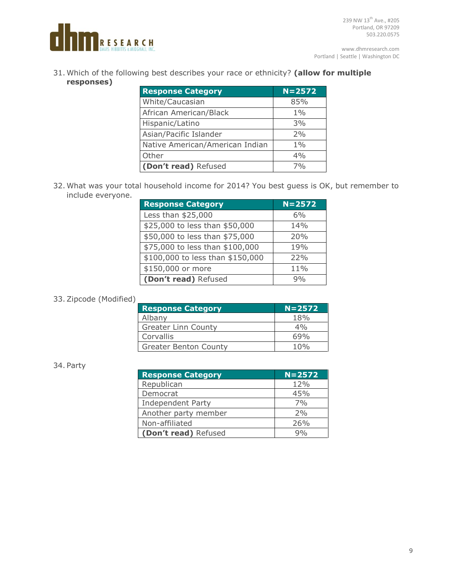

31. Which of the following best describes your race or ethnicity? **(allow for multiple responses)**

| <b>Response Category</b>        | $N = 2572$ |
|---------------------------------|------------|
| White/Caucasian                 | 85%        |
| African American/Black          | $1\%$      |
| Hispanic/Latino                 | 3%         |
| Asian/Pacific Islander          | 2%         |
| Native American/American Indian | $1\%$      |
| Other                           | 4%         |
| (Don't read) Refused            | 7%         |

32. What was your total household income for 2014? You best guess is OK, but remember to include everyone.

| <b>Response Category</b>         | $N = 2572$ |
|----------------------------------|------------|
| Less than \$25,000               | 6%         |
| \$25,000 to less than \$50,000   | 14%        |
| \$50,000 to less than \$75,000   | 20%        |
| \$75,000 to less than \$100,000  | 19%        |
| \$100,000 to less than \$150,000 | 22%        |
| \$150,000 or more                | 11%        |
| (Don't read) Refused             | 9%         |

### 33.Zipcode (Modified)

| <b>Response Category</b>     | $N = 2572$ |
|------------------------------|------------|
| Albany                       | 18%        |
| <b>Greater Linn County</b>   | 4%         |
| Corvallis                    | 69%        |
| <b>Greater Benton County</b> | 10%        |

#### 34. Party

| <b>Response Category</b> | $N = 2572$ |
|--------------------------|------------|
| Republican               | 12%        |
| Democrat                 | 45%        |
| <b>Independent Party</b> | 7%         |
| Another party member     | 2%         |
| Non-affiliated           | 26%        |
| (Don't read) Refused     | $Q_0/2$    |